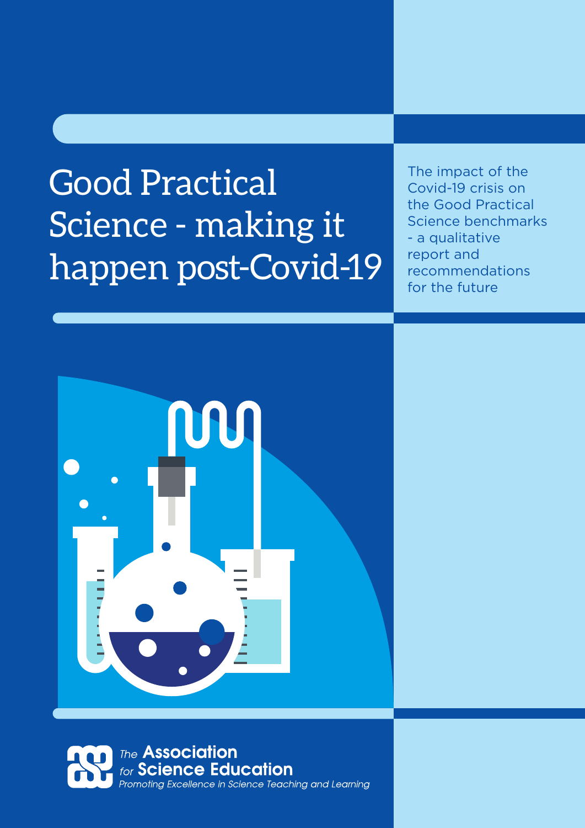# Good Practical Science - making it happen post-Covid-19

The impact of the Covid-19 crisis on the Good Practical Science benchmarks - a qualitative report and recommendations for the future





 $G$ od practical science The impact of the impact of the  $C$ ovid-19 crisis on practical science benchmarks 19 crisis on practical science benchmarks 19 crisis on practical science benchmarks 19 crisis on practical science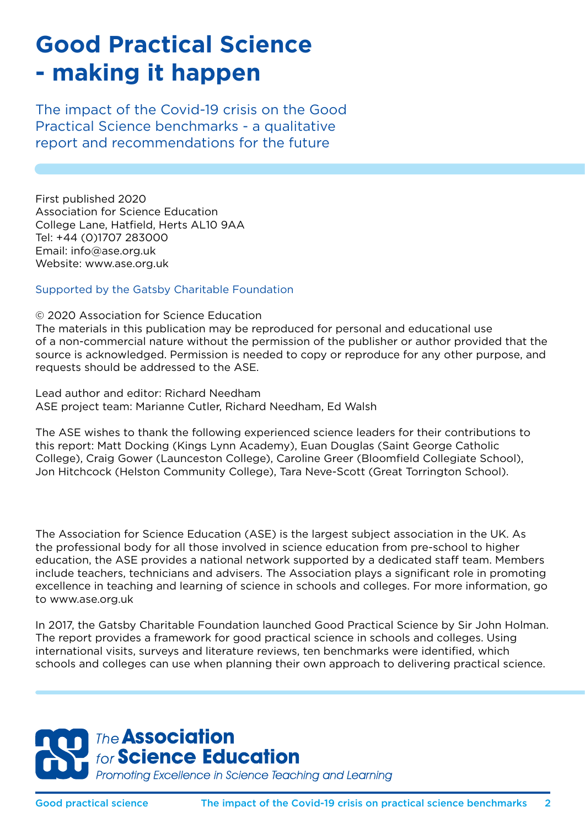# **Good Practical Science - making it happen**

The impact of the Covid-19 crisis on the Good Practical Science benchmarks - a qualitative report and recommendations for the future

First published 2020 Association for Science Education College Lane, Hatfield, Herts AL10 9AA Tel: +44 (0)1707 283000 Email: info@ase.org.uk Website: www.ase.org.uk

Supported by the Gatsby Charitable Foundation

© 2020 Association for Science Education

The materials in this publication may be reproduced for personal and educational use of a non-commercial nature without the permission of the publisher or author provided that the source is acknowledged. Permission is needed to copy or reproduce for any other purpose, and requests should be addressed to the ASE.

Lead author and editor: Richard Needham ASE project team: Marianne Cutler, Richard Needham, Ed Walsh

The ASE wishes to thank the following experienced science leaders for their contributions to this report: Matt Docking (Kings Lynn Academy), Euan Douglas (Saint George Catholic College), Craig Gower (Launceston College), Caroline Greer (Bloomfield Collegiate School), Jon Hitchcock (Helston Community College), Tara Neve-Scott (Great Torrington School).

The Association for Science Education (ASE) is the largest subject association in the UK. As the professional body for all those involved in science education from pre-school to higher education, the ASE provides a national network supported by a dedicated staff team. Members include teachers, technicians and advisers. The Association plays a significant role in promoting excellence in teaching and learning of science in schools and colleges. For more information, go to www.ase.org.uk

In 2017, the Gatsby Charitable Foundation launched Good Practical Science by Sir John Holman. The report provides a framework for good practical science in schools and colleges. Using international visits, surveys and literature reviews, ten benchmarks were identified, which schools and colleges can use when planning their own approach to delivering practical science.

#### The **Association** for Science Education Promoting Excellence in Science Teaching and Learning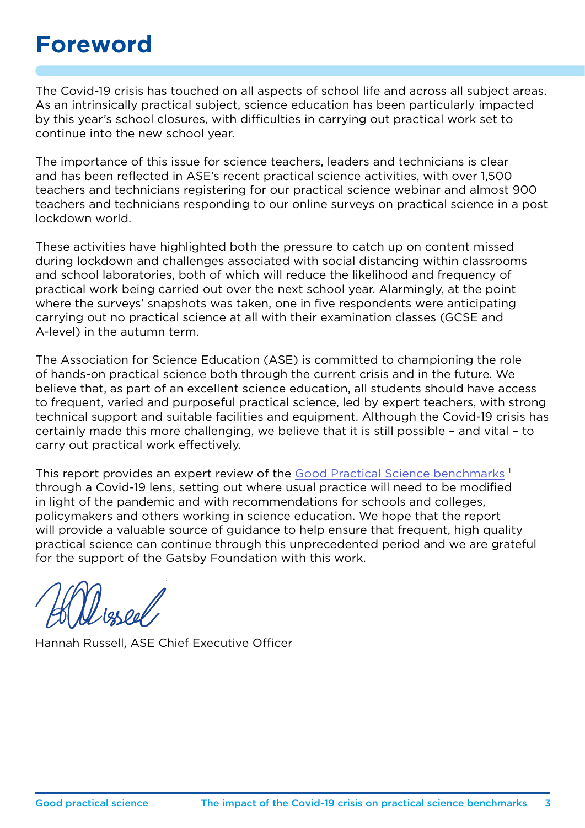### **Foreword**

The Covid-19 crisis has touched on all aspects of school life and across all subject areas. As an intrinsically practical subject, science education has been particularly impacted by this year's school closures, with difficulties in carrying out practical work set to continue into the new school year.

The importance of this issue for science teachers, leaders and technicians is clear and has been reflected in ASE's recent practical science activities, with over 1,500 teachers and technicians registering for our practical science webinar and almost 900 teachers and technicians responding to our online surveys on practical science in a post lockdown world.

These activities have highlighted both the pressure to catch up on content missed during lockdown and challenges associated with social distancing within classrooms and school laboratories, both of which will reduce the likelihood and frequency of practical work being carried out over the next school year. Alarmingly, at the point where the surveys' snapshots was taken, one in five respondents were anticipating carrying out no practical science at all with their examination classes (GCSE and A-level) in the autumn term.

The Association for Science Education (ASE) is committed to championing the role of hands-on practical science both through the current crisis and in the future. We believe that, as part of an excellent science education, all students should have access to frequent, varied and purposeful practical science, led by expert teachers, with strong technical support and suitable facilities and equipment. Although the Covid-19 crisis has certainly made this more challenging, we believe that it is still possible – and vital – to carry out practical work effectively.

This report provides an expert review of the [Good Practical Science benchmarks](https://www.gatsby.org.uk/education/programmes/support-for-practical-science-in-schools#:~:text=The%20Benchmarks%20%20%201%20Planned%20Practical%20Science,laboratories%20%20...%20%205%20more%20rows%20)<sup>1</sup> through a Covid-19 lens, setting out where usual practice will need to be modified in light of the pandemic and with recommendations for schools and colleges, policymakers and others working in science education. We hope that the report will provide a valuable source of guidance to help ensure that frequent, high quality practical science can continue through this unprecedented period and we are grateful for the support of the Gatsby Foundation with this work.

Hannah Russell, ASE Chief Executive Officer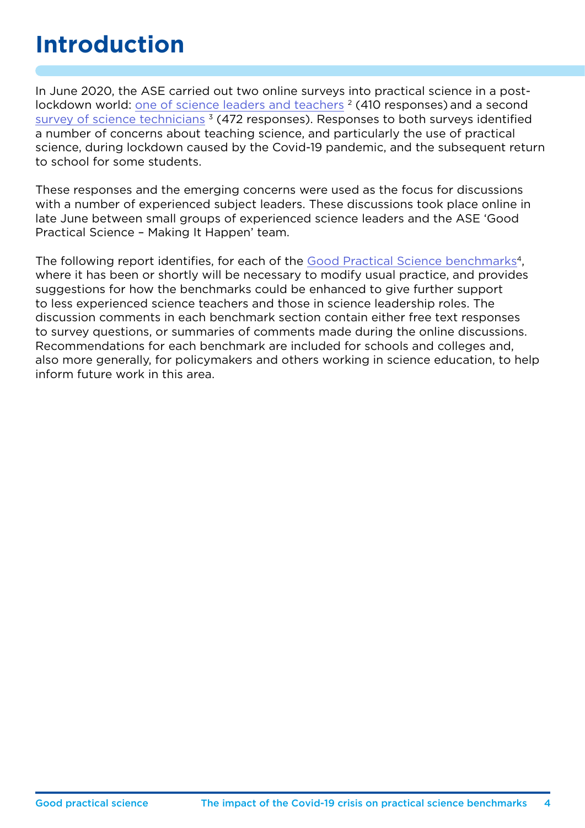# **Introduction**

In June 2020, the ASE carried out two online surveys into practical science in a postlockdown world: [one of science leaders and teachers](http://www.surveymonkey.com/create/preview/?sm=m2_2FbRLfA_2FO8x0EoZVEBTqEZzfAvqk94foQ1GmjwlXwE_3D) <sup>2</sup> (410 responses) and a second [survey of science technicians](http://www.surveymonkey.com/create/preview/?sm=_2BlrPBL3w3LFuoVr5V2ihRUrYdrtON5jOtruq6tRJUMo_3D)<sup>3</sup> (472 responses). Responses to both surveys identified a number of concerns about teaching science, and particularly the use of practical science, during lockdown caused by the Covid-19 pandemic, and the subsequent return to school for some students.

These responses and the emerging concerns were used as the focus for discussions with a number of experienced subject leaders. These discussions took place online in late June between small groups of experienced science leaders and the ASE 'Good Practical Science – Making It Happen' team.

The following report identifies, for each of the [Good Practical Science benchmarks](http://www.gatsby.org.uk/education/programmes/support-for-practical-science-in-schools)<sup>4</sup>, where it has been or shortly will be necessary to modify usual practice, and provides suggestions for how the benchmarks could be enhanced to give further support to less experienced science teachers and those in science leadership roles. The discussion comments in each benchmark section contain either free text responses to survey questions, or summaries of comments made during the online discussions. Recommendations for each benchmark are included for schools and colleges and, also more generally, for policymakers and others working in science education, to help inform future work in this area.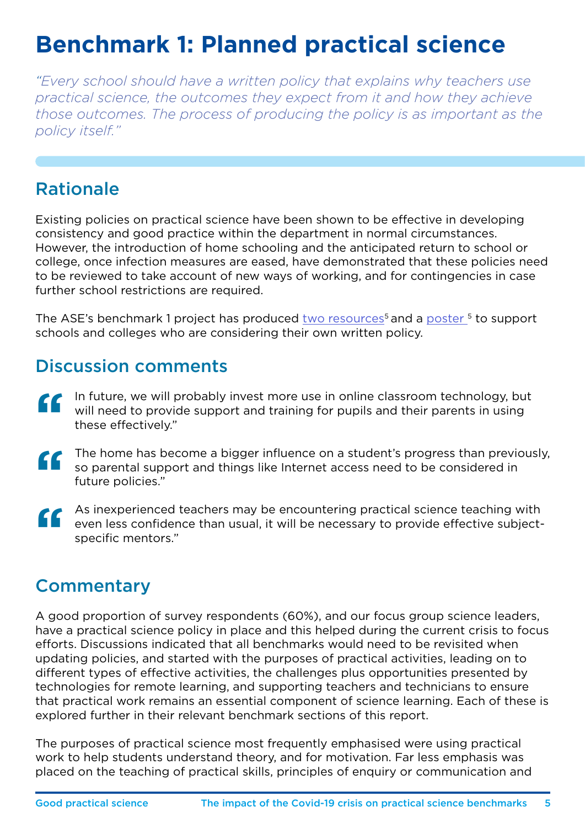# **Benchmark 1: Planned practical science**

*"Every school should have a written policy that explains why teachers use practical science, the outcomes they expect from it and how they achieve those outcomes. The process of producing the policy is as important as the policy itself."*

### Rationale

Existing policies on practical science have been shown to be effective in developing consistency and good practice within the department in normal circumstances. However, the introduction of home schooling and the anticipated return to school or college, once infection measures are eased, have demonstrated that these policies need to be reviewed to take account of new ways of working, and for contingencies in case further school restrictions are required.

The ASE's benchmark 1 project has produced [two resources](http://www.ase.org.uk/resources/good-practical-science-making-it-happen)<sup>5</sup> and a [poster](http://www.ase.org.uk/sites/default/files/GPS%20Poster.pdf ) <sup>5</sup> to support schools and colleges who are considering their own written policy.

### Discussion comments

- In future, we will probably invest more use in online classroom technology, but will need to provide support and training for pupils and their parents in using these effectively."  $\epsilon$
- The home has become a bigger influence on a student's progress than previously,<br>
so parental support and things like Internet access need to be considered in<br>
future policies." so parental support and things like Internet access need to be considered in future policies."
- As inexperienced teachers may be encountering practical science teaching with<br>
even less confidence than usual, it will be necessary to provide effective subject-<br>
specific mentors." even less confidence than usual, it will be necessary to provide effective subjectspecific mentors."

### **Commentary**

A good proportion of survey respondents (60%), and our focus group science leaders, have a practical science policy in place and this helped during the current crisis to focus efforts. Discussions indicated that all benchmarks would need to be revisited when updating policies, and started with the purposes of practical activities, leading on to different types of effective activities, the challenges plus opportunities presented by technologies for remote learning, and supporting teachers and technicians to ensure that practical work remains an essential component of science learning. Each of these is explored further in their relevant benchmark sections of this report.

The purposes of practical science most frequently emphasised were using practical work to help students understand theory, and for motivation. Far less emphasis was placed on the teaching of practical skills, principles of enquiry or communication and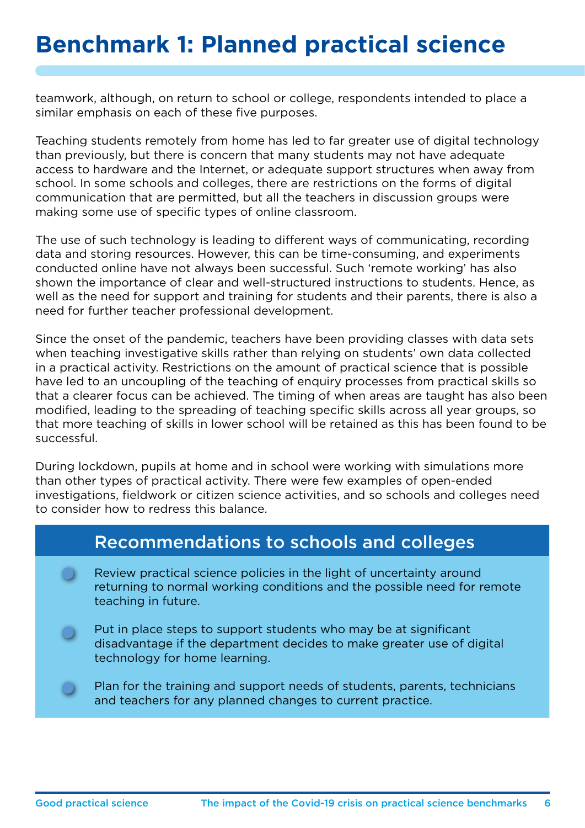### **Benchmark 1: Planned practical science**

teamwork, although, on return to school or college, respondents intended to place a similar emphasis on each of these five purposes.

Teaching students remotely from home has led to far greater use of digital technology than previously, but there is concern that many students may not have adequate access to hardware and the Internet, or adequate support structures when away from school. In some schools and colleges, there are restrictions on the forms of digital communication that are permitted, but all the teachers in discussion groups were making some use of specific types of online classroom.

The use of such technology is leading to different ways of communicating, recording data and storing resources. However, this can be time-consuming, and experiments conducted online have not always been successful. Such 'remote working' has also shown the importance of clear and well-structured instructions to students. Hence, as well as the need for support and training for students and their parents, there is also a need for further teacher professional development.

Since the onset of the pandemic, teachers have been providing classes with data sets when teaching investigative skills rather than relying on students' own data collected in a practical activity. Restrictions on the amount of practical science that is possible have led to an uncoupling of the teaching of enquiry processes from practical skills so that a clearer focus can be achieved. The timing of when areas are taught has also been modified, leading to the spreading of teaching specific skills across all year groups, so that more teaching of skills in lower school will be retained as this has been found to be successful.

During lockdown, pupils at home and in school were working with simulations more than other types of practical activity. There were few examples of open-ended investigations, fieldwork or citizen science activities, and so schools and colleges need to consider how to redress this balance.

#### Recommendations to schools and colleges

- Review practical science policies in the light of uncertainty around returning to normal working conditions and the possible need for remote teaching in future.
- Put in place steps to support students who may be at significant disadvantage if the department decides to make greater use of digital technology for home learning.
	- Plan for the training and support needs of students, parents, technicians and teachers for any planned changes to current practice.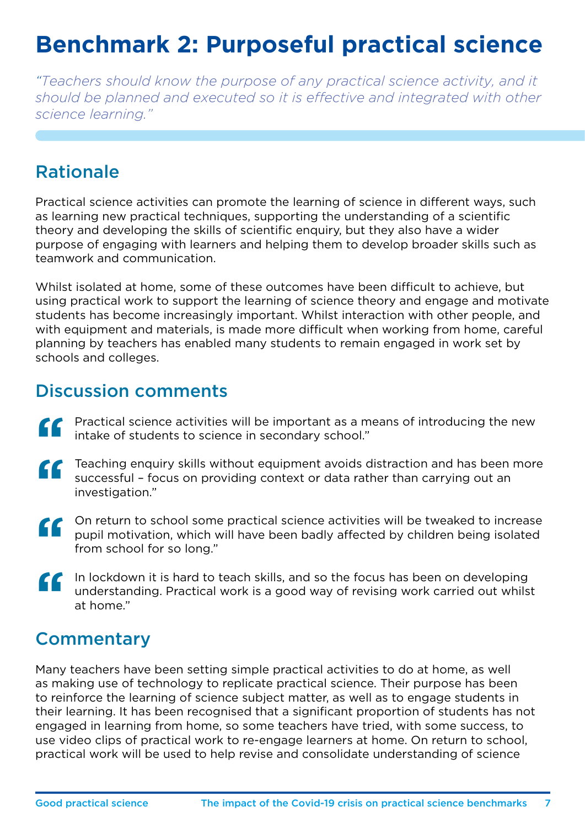# **Benchmark 2: Purposeful practical science**

*"Teachers should know the purpose of any practical science activity, and it should be planned and executed so it is effective and integrated with other science learning."*

### Rationale

Practical science activities can promote the learning of science in different ways, such as learning new practical techniques, supporting the understanding of a scientific theory and developing the skills of scientific enquiry, but they also have a wider purpose of engaging with learners and helping them to develop broader skills such as teamwork and communication.

Whilst isolated at home, some of these outcomes have been difficult to achieve, but using practical work to support the learning of science theory and engage and motivate students has become increasingly important. Whilst interaction with other people, and with equipment and materials, is made more difficult when working from home, careful planning by teachers has enabled many students to remain engaged in work set by schools and colleges.

### Discussion comments

- Practical science activities will be important as a means of introducing the new intake of students to science in secondary school."  $\epsilon$
- Teaching enquiry skills without equipment avoids distraction and has been more successful – focus on providing context or data rather than carrying out an investigation."  $\epsilon$
- On return to school some practical science activities will be tweaked to increase pupil motivation, which will have been badly affected by children being isolated from school for so long."  $\epsilon$
- In lockdown it is hard to teach skills, and so the focus has been on developing understanding. Practical work is a good way of revising work carried out whilst at home."  $\epsilon$

### **Commentary**

Many teachers have been setting simple practical activities to do at home, as well as making use of technology to replicate practical science. Their purpose has been to reinforce the learning of science subject matter, as well as to engage students in their learning. It has been recognised that a significant proportion of students has not engaged in learning from home, so some teachers have tried, with some success, to use video clips of practical work to re-engage learners at home. On return to school, practical work will be used to help revise and consolidate understanding of science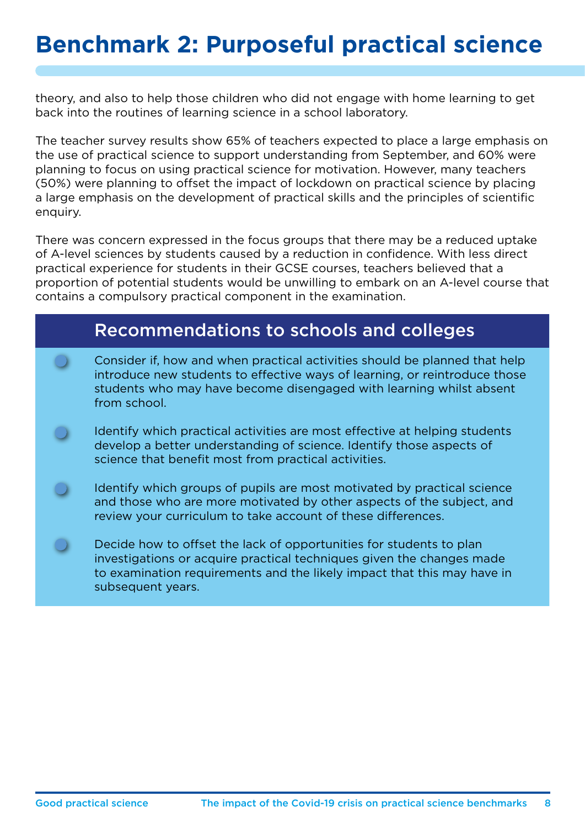# **Benchmark 2: Purposeful practical science**

theory, and also to help those children who did not engage with home learning to get back into the routines of learning science in a school laboratory.

The teacher survey results show 65% of teachers expected to place a large emphasis on the use of practical science to support understanding from September, and 60% were planning to focus on using practical science for motivation. However, many teachers (50%) were planning to offset the impact of lockdown on practical science by placing a large emphasis on the development of practical skills and the principles of scientific enquiry.

There was concern expressed in the focus groups that there may be a reduced uptake of A-level sciences by students caused by a reduction in confidence. With less direct practical experience for students in their GCSE courses, teachers believed that a proportion of potential students would be unwilling to embark on an A-level course that contains a compulsory practical component in the examination.

#### Recommendations to schools and colleges

- Consider if, how and when practical activities should be planned that help introduce new students to effective ways of learning, or reintroduce those students who may have become disengaged with learning whilst absent from school.
- Identify which practical activities are most effective at helping students develop a better understanding of science. Identify those aspects of science that benefit most from practical activities.
- Identify which groups of pupils are most motivated by practical science and those who are more motivated by other aspects of the subject, and review your curriculum to take account of these differences.
- Decide how to offset the lack of opportunities for students to plan investigations or acquire practical techniques given the changes made to examination requirements and the likely impact that this may have in subsequent years.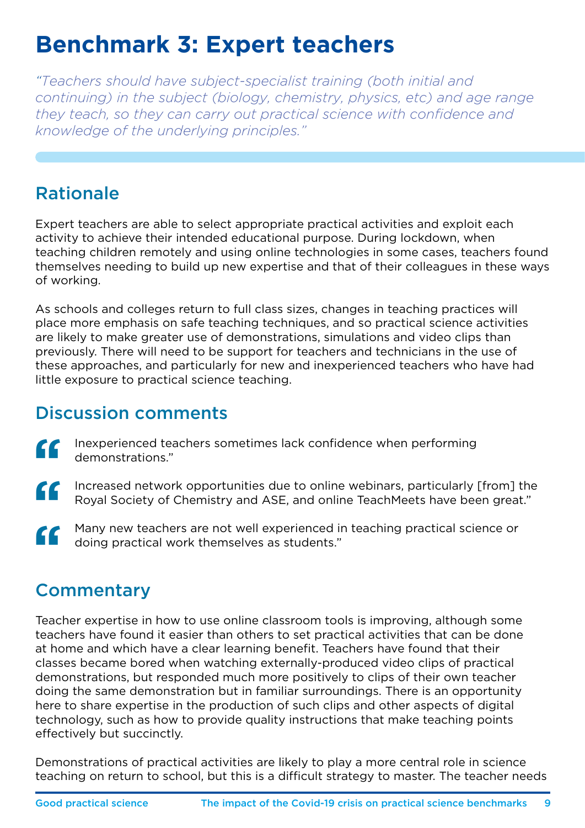# **Benchmark 3: Expert teachers**

*"Teachers should have subject-specialist training (both initial and continuing) in the subject (biology, chemistry, physics, etc) and age range they teach, so they can carry out practical science with confidence and knowledge of the underlying principles."*

### Rationale

Expert teachers are able to select appropriate practical activities and exploit each activity to achieve their intended educational purpose. During lockdown, when teaching children remotely and using online technologies in some cases, teachers found themselves needing to build up new expertise and that of their colleagues in these ways of working.

As schools and colleges return to full class sizes, changes in teaching practices will place more emphasis on safe teaching techniques, and so practical science activities are likely to make greater use of demonstrations, simulations and video clips than previously. There will need to be support for teachers and technicians in the use of these approaches, and particularly for new and inexperienced teachers who have had little exposure to practical science teaching.

### Discussion comments

- Inexperienced teachers sometimes lack confidence when performing demonstrations."  $\epsilon$
- Increased network opportunities due to online webinars, particularly [from] the Royal Society of Chemistry and ASE, and online TeachMeets have been great."  $\epsilon$
- Many new teachers are not well experienced in teaching practical science or doing practical work themselves as students."  $\epsilon$

### **Commentary**

Teacher expertise in how to use online classroom tools is improving, although some teachers have found it easier than others to set practical activities that can be done at home and which have a clear learning benefit. Teachers have found that their classes became bored when watching externally-produced video clips of practical demonstrations, but responded much more positively to clips of their own teacher doing the same demonstration but in familiar surroundings. There is an opportunity here to share expertise in the production of such clips and other aspects of digital technology, such as how to provide quality instructions that make teaching points effectively but succinctly.

Demonstrations of practical activities are likely to play a more central role in science teaching on return to school, but this is a difficult strategy to master. The teacher needs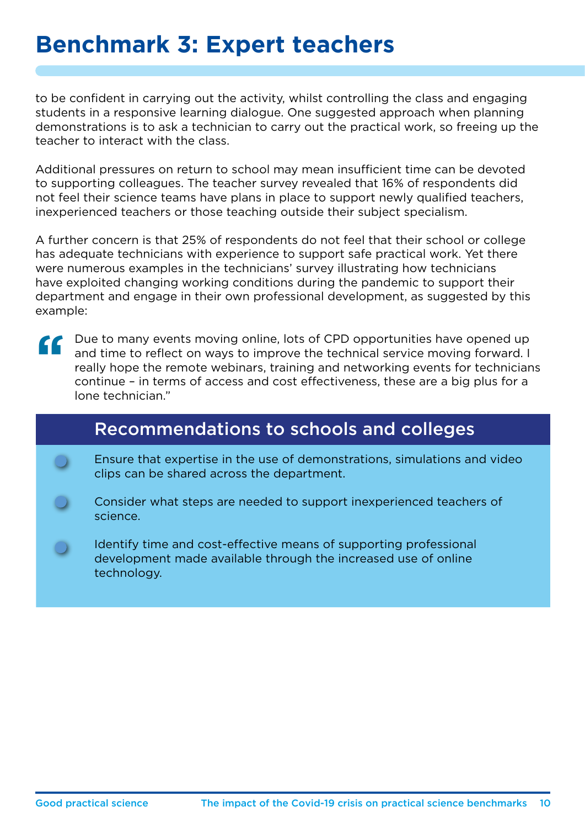### **Benchmark 3: Expert teachers**

to be confident in carrying out the activity, whilst controlling the class and engaging students in a responsive learning dialogue. One suggested approach when planning demonstrations is to ask a technician to carry out the practical work, so freeing up the teacher to interact with the class.

Additional pressures on return to school may mean insufficient time can be devoted to supporting colleagues. The teacher survey revealed that 16% of respondents did not feel their science teams have plans in place to support newly qualified teachers, inexperienced teachers or those teaching outside their subject specialism.

A further concern is that 25% of respondents do not feel that their school or college has adequate technicians with experience to support safe practical work. Yet there were numerous examples in the technicians' survey illustrating how technicians have exploited changing working conditions during the pandemic to support their department and engage in their own professional development, as suggested by this example:

 $\epsilon$ Due to many events moving online, lots of CPD opportunities have opened up and time to reflect on ways to improve the technical service moving forward. I really hope the remote webinars, training and networking events for technicians continue – in terms of access and cost effectiveness, these are a big plus for a lone technician."

### Recommendations to schools and colleges

- Ensure that expertise in the use of demonstrations, simulations and video clips can be shared across the department.
- Consider what steps are needed to support inexperienced teachers of science.
- Identify time and cost-effective means of supporting professional development made available through the increased use of online technology.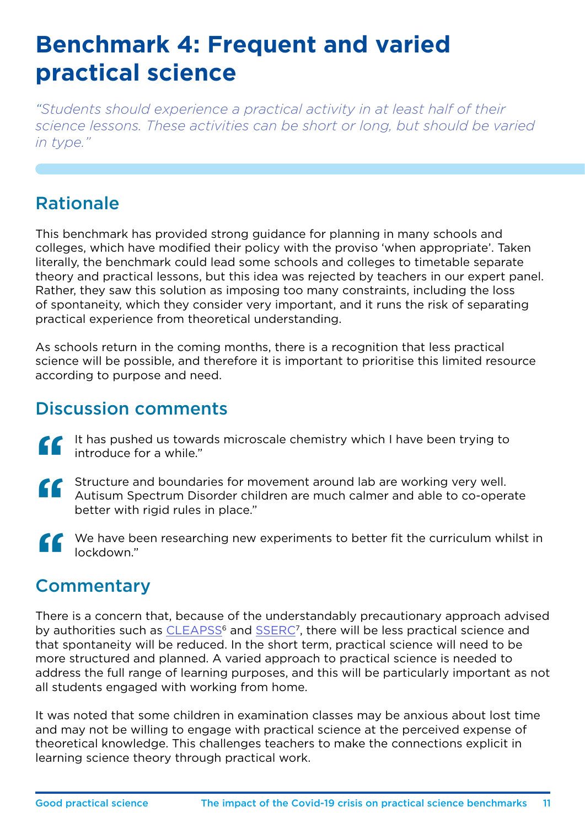## **Benchmark 4: Frequent and varied practical science**

*"Students should experience a practical activity in at least half of their science lessons. These activities can be short or long, but should be varied in type."*

### Rationale

This benchmark has provided strong guidance for planning in many schools and colleges, which have modified their policy with the proviso 'when appropriate'. Taken literally, the benchmark could lead some schools and colleges to timetable separate theory and practical lessons, but this idea was rejected by teachers in our expert panel. Rather, they saw this solution as imposing too many constraints, including the loss of spontaneity, which they consider very important, and it runs the risk of separating practical experience from theoretical understanding.

As schools return in the coming months, there is a recognition that less practical science will be possible, and therefore it is important to prioritise this limited resource according to purpose and need.

### Discussion comments

- It has pushed us towards microscale chemistry which I have been trying to introduce for a while." er<br>Se
- Structure and boundaries for movement around lab are working very well. Autisum Spectrum Disorder children are much calmer and able to co-operate better with rigid rules in place." ''
- We have been researching new experiments to better fit the curriculum whilst in lockdown." EF<sub>Cor</sub>

### Commentary

There is a concern that, because of the understandably precautionary approach advised by authorities such as [CLEAPSS](http://www.cleapss.org.uk/)<sup>6</sup> and [SSERC](http://www.sserc.org.uk/)<sup>7</sup>, there will be less practical science and that spontaneity will be reduced. In the short term, practical science will need to be more structured and planned. A varied approach to practical science is needed to address the full range of learning purposes, and this will be particularly important as not all students engaged with working from home.

It was noted that some children in examination classes may be anxious about lost time and may not be willing to engage with practical science at the perceived expense of theoretical knowledge. This challenges teachers to make the connections explicit in learning science theory through practical work.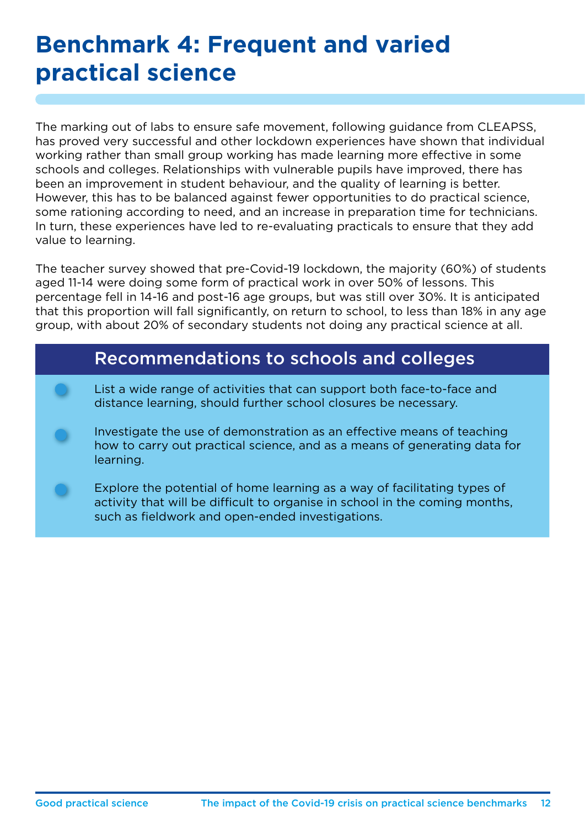# **Benchmark 4: Frequent and varied practical science**

The marking out of labs to ensure safe movement, following guidance from CLEAPSS, has proved very successful and other lockdown experiences have shown that individual working rather than small group working has made learning more effective in some schools and colleges. Relationships with vulnerable pupils have improved, there has been an improvement in student behaviour, and the quality of learning is better. However, this has to be balanced against fewer opportunities to do practical science, some rationing according to need, and an increase in preparation time for technicians. In turn, these experiences have led to re-evaluating practicals to ensure that they add value to learning.

The teacher survey showed that pre-Covid-19 lockdown, the majority (60%) of students aged 11-14 were doing some form of practical work in over 50% of lessons. This percentage fell in 14-16 and post-16 age groups, but was still over 30%. It is anticipated that this proportion will fall significantly, on return to school, to less than 18% in any age group, with about 20% of secondary students not doing any practical science at all.

#### Recommendations to schools and colleges

- List a wide range of activities that can support both face-to-face and distance learning, should further school closures be necessary.
- Investigate the use of demonstration as an effective means of teaching how to carry out practical science, and as a means of generating data for learning.
- Explore the potential of home learning as a way of facilitating types of activity that will be difficult to organise in school in the coming months, such as fieldwork and open-ended investigations.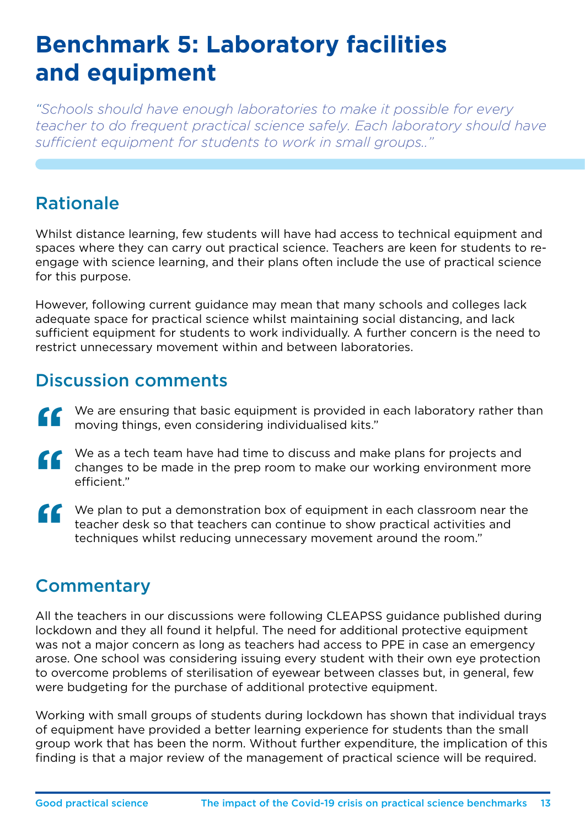# **Benchmark 5: Laboratory facilities and equipment**

*"Schools should have enough laboratories to make it possible for every*  teacher to do frequent practical science safely. Each laboratory should have *sufficient equipment for students to work in small groups.."*

### Rationale

Whilst distance learning, few students will have had access to technical equipment and spaces where they can carry out practical science. Teachers are keen for students to reengage with science learning, and their plans often include the use of practical science for this purpose.

However, following current guidance may mean that many schools and colleges lack adequate space for practical science whilst maintaining social distancing, and lack sufficient equipment for students to work individually. A further concern is the need to restrict unnecessary movement within and between laboratories.

### Discussion comments

- We are ensuring that basic equipment is provided in each laboratory rather than moving things, even considering individualised kits." We are ensuring that basic equipment is provided in each laboratory rather the moving things, even considering individualised kits."<br>We as a tech team have had time to discuss and make plans for projects and
- changes to be made in the prep room to make our working environment more efficient." ''
- We plan to put a demonstration box of equipment in each classroom near the teacher desk so that teachers can continue to show practical activities and techniques whilst reducing unnecessary movement around the room."  $\mathbf{G}$

### **Commentary**

All the teachers in our discussions were following CLEAPSS guidance published during lockdown and they all found it helpful. The need for additional protective equipment was not a major concern as long as teachers had access to PPE in case an emergency arose. One school was considering issuing every student with their own eye protection to overcome problems of sterilisation of eyewear between classes but, in general, few were budgeting for the purchase of additional protective equipment.

Working with small groups of students during lockdown has shown that individual trays of equipment have provided a better learning experience for students than the small group work that has been the norm. Without further expenditure, the implication of this finding is that a major review of the management of practical science will be required.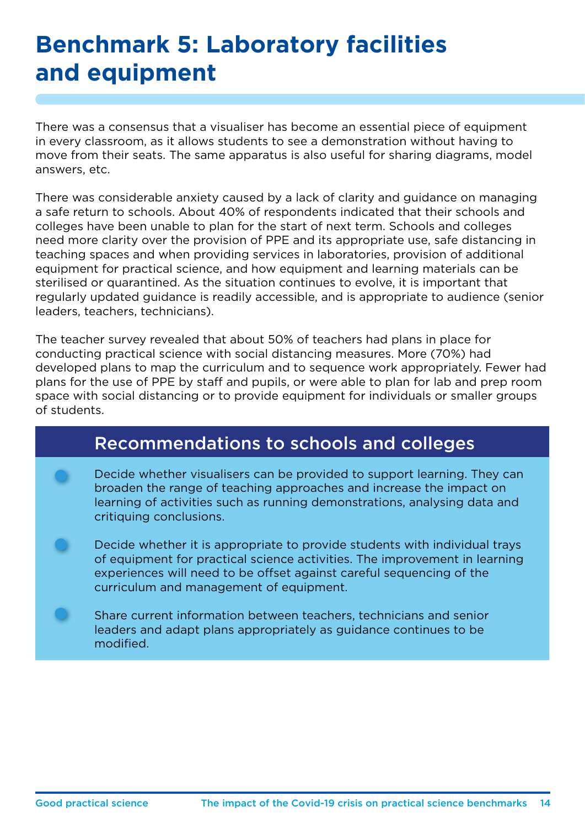# **Benchmark 5: Laboratory facilities and equipment**

There was a consensus that a visualiser has become an essential piece of equipment in every classroom, as it allows students to see a demonstration without having to move from their seats. The same apparatus is also useful for sharing diagrams, model answers, etc.

There was considerable anxiety caused by a lack of clarity and guidance on managing a safe return to schools. About 40% of respondents indicated that their schools and colleges have been unable to plan for the start of next term. Schools and colleges need more clarity over the provision of PPE and its appropriate use, safe distancing in teaching spaces and when providing services in laboratories, provision of additional equipment for practical science, and how equipment and learning materials can be sterilised or quarantined. As the situation continues to evolve, it is important that regularly updated guidance is readily accessible, and is appropriate to audience (senior leaders, teachers, technicians).

The teacher survey revealed that about 50% of teachers had plans in place for conducting practical science with social distancing measures. More (70%) had developed plans to map the curriculum and to sequence work appropriately. Fewer had plans for the use of PPE by staff and pupils, or were able to plan for lab and prep room space with social distancing or to provide equipment for individuals or smaller groups of students.

### Recommendations to schools and colleges

Decide whether visualisers can be provided to support learning. They can broaden the range of teaching approaches and increase the impact on learning of activities such as running demonstrations, analysing data and critiquing conclusions.

Decide whether it is appropriate to provide students with individual trays of equipment for practical science activities. The improvement in learning experiences will need to be offset against careful sequencing of the curriculum and management of equipment.

Share current information between teachers, technicians and senior leaders and adapt plans appropriately as guidance continues to be modified.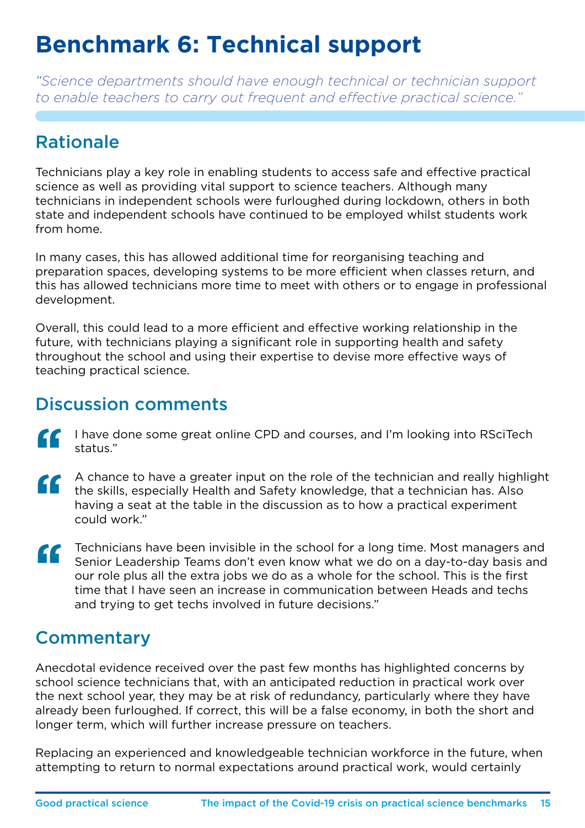# **Benchmark 6: Technical support**

*"Science departments should have enough technical or technician support to enable teachers to carry out frequent and effective practical science."*

### Rationale

Technicians play a key role in enabling students to access safe and effective practical science as well as providing vital support to science teachers. Although many technicians in independent schools were furloughed during lockdown, others in both state and independent schools have continued to be employed whilst students work from home.

In many cases, this has allowed additional time for reorganising teaching and preparation spaces, developing systems to be more efficient when classes return, and this has allowed technicians more time to meet with others or to engage in professional development.

Overall, this could lead to a more efficient and effective working relationship in the future, with technicians playing a significant role in supporting health and safety throughout the school and using their expertise to devise more effective ways of teaching practical science.

#### Discussion comments

- I have done some great online CPD and courses, and I'm looking into RSciTech status."  $\epsilon$
- A chance to have a greater input on the role of the technician and really highlight the skills, especially Health and Safety knowledge, that a technician has. Also having a seat at the table in the discussion as to how a practical experiment could work."  $\epsilon$
- Technicians have been invisible in the school for a long time. Most managers and Senior Leadership Teams don't even know what we do on a day-to-day basis and our role plus all the extra jobs we do as a whole for the school Senior Leadership Teams don't even know what we do on a day-to-day basis and our role plus all the extra jobs we do as a whole for the school. This is the first time that I have seen an increase in communication between Heads and techs and trying to get techs involved in future decisions."

### **Commentary**

Anecdotal evidence received over the past few months has highlighted concerns by school science technicians that, with an anticipated reduction in practical work over the next school year, they may be at risk of redundancy, particularly where they have already been furloughed. If correct, this will be a false economy, in both the short and longer term, which will further increase pressure on teachers.

Replacing an experienced and knowledgeable technician workforce in the future, when attempting to return to normal expectations around practical work, would certainly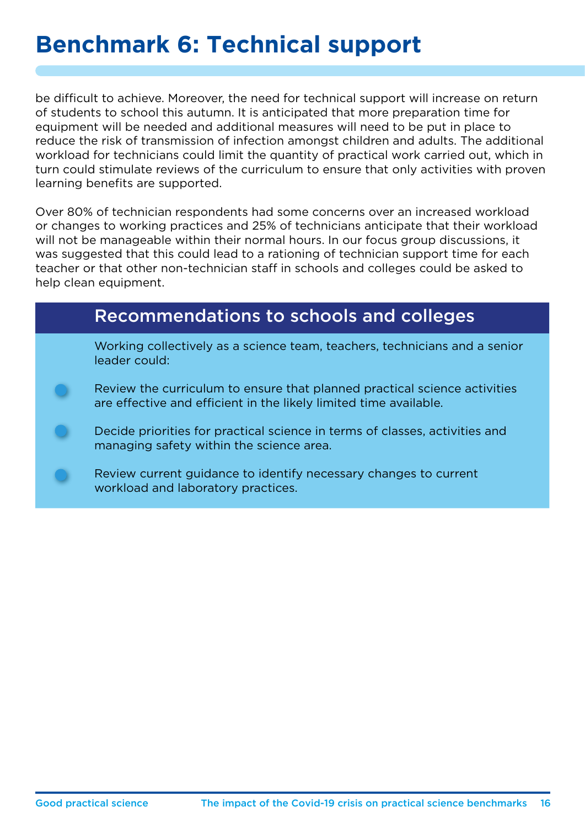### **Benchmark 6: Technical support**

be difficult to achieve. Moreover, the need for technical support will increase on return of students to school this autumn. It is anticipated that more preparation time for equipment will be needed and additional measures will need to be put in place to reduce the risk of transmission of infection amongst children and adults. The additional workload for technicians could limit the quantity of practical work carried out, which in turn could stimulate reviews of the curriculum to ensure that only activities with proven learning benefits are supported.

Over 80% of technician respondents had some concerns over an increased workload or changes to working practices and 25% of technicians anticipate that their workload will not be manageable within their normal hours. In our focus group discussions, it was suggested that this could lead to a rationing of technician support time for each teacher or that other non-technician staff in schools and colleges could be asked to help clean equipment.

#### Recommendations to schools and colleges

Working collectively as a science team, teachers, technicians and a senior leader could:

- Review the curriculum to ensure that planned practical science activities are effective and efficient in the likely limited time available.
- Decide priorities for practical science in terms of classes, activities and managing safety within the science area.
- Review current guidance to identify necessary changes to current workload and laboratory practices.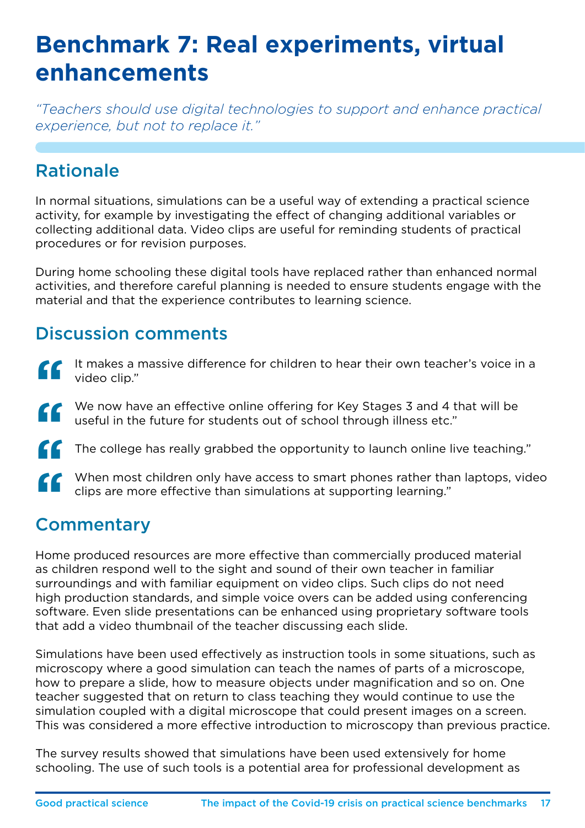# **Benchmark 7: Real experiments, virtual enhancements**

*"Teachers should use digital technologies to support and enhance practical experience, but not to replace it."*

### Rationale

In normal situations, simulations can be a useful way of extending a practical science activity, for example by investigating the effect of changing additional variables or collecting additional data. Video clips are useful for reminding students of practical procedures or for revision purposes.

During home schooling these digital tools have replaced rather than enhanced normal activities, and therefore careful planning is needed to ensure students engage with the material and that the experience contributes to learning science.

### Discussion comments

- It makes a massive difference for children to hear their own teacher's voice in a video clip."  $\epsilon$
- We now have an effective online offering for Key Stages 3 and 4 that will be useful in the future for students out of school through illness etc." ''
- The college has really grabbed the opportunity to launch online live teaching."
- When most children only have access to smart phones rather than laptops, video clips are more effective than simulations at supporting learning." EF<br>Cor "<br>"

### **Commentary**

Home produced resources are more effective than commercially produced material as children respond well to the sight and sound of their own teacher in familiar surroundings and with familiar equipment on video clips. Such clips do not need high production standards, and simple voice overs can be added using conferencing software. Even slide presentations can be enhanced using proprietary software tools that add a video thumbnail of the teacher discussing each slide.

Simulations have been used effectively as instruction tools in some situations, such as microscopy where a good simulation can teach the names of parts of a microscope, how to prepare a slide, how to measure objects under magnification and so on. One teacher suggested that on return to class teaching they would continue to use the simulation coupled with a digital microscope that could present images on a screen. This was considered a more effective introduction to microscopy than previous practice.

The survey results showed that simulations have been used extensively for home schooling. The use of such tools is a potential area for professional development as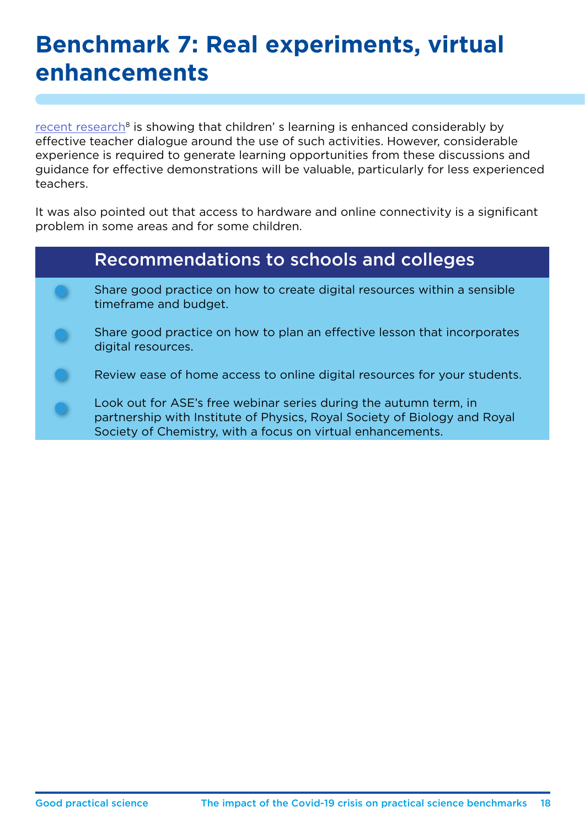### **Benchmark 7: Real experiments, virtual enhancements**

recent research<sup>8</sup> is showing that children' s learning is enhanced considerably by effective teacher dialogue around the use of such activities. However, considerable experience is required to generate learning opportunities from these discussions and guidance for effective demonstrations will be valuable, particularly for less experienced teachers.

It was also pointed out that access to hardware and online connectivity is a significant problem in some areas and for some children.

| <b>Recommendations to schools and colleges</b>                                                                                                                                                                |
|---------------------------------------------------------------------------------------------------------------------------------------------------------------------------------------------------------------|
| Share good practice on how to create digital resources within a sensible<br>timeframe and budget.                                                                                                             |
| Share good practice on how to plan an effective lesson that incorporates<br>digital resources.                                                                                                                |
| Review ease of home access to online digital resources for your students.                                                                                                                                     |
| Look out for ASE's free webinar series during the autumn term, in<br>partnership with Institute of Physics, Royal Society of Biology and Royal<br>Society of Chemistry, with a focus on virtual enhancements. |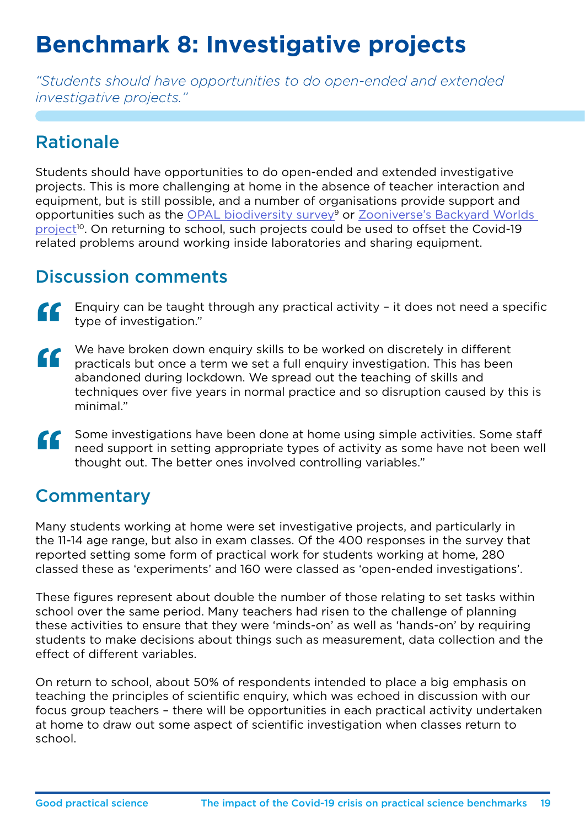# **Benchmark 8: Investigative projects**

*"Students should have opportunities to do open-ended and extended investigative projects."*

### Rationale

Students should have opportunities to do open-ended and extended investigative projects. This is more challenging at home in the absence of teacher interaction and equipment, but is still possible, and a number of organisations provide support and opportunities such as the [OPAL biodiversity survey](http://www.imperial.ac.uk/opal/surveys/biodiversitysurvey/)<sup>9</sup> or Zooniverse's Backyard Worlds [project](http://www.zooniverse.org/projects/marckuchner/backyard-worlds-planet-9)<sup>10</sup>. On returning to school, such projects could be used to offset the Covid-19 related problems around working inside laboratories and sharing equipment.

### Discussion comments

- Enquiry can be taught through any practical activity it does not need a specific type of investigation." a<br>Ca
- We have broken down enquiry skills to be worked on discretely in different practicals but once a term we set a full enquiry investigation. This has been abandoned during lockdown. We spread out the teaching of skills and techniques over five years in normal practice and so disruption caused by this is minimal."  $\mathbf{G}$
- Some investigations have been done at home using simple activities. Some staff need support in setting appropriate types of activity as some have not been well thought out. The better ones involved controlling variables."  $\epsilon$

### **Commentary**

Many students working at home were set investigative projects, and particularly in the 11-14 age range, but also in exam classes. Of the 400 responses in the survey that reported setting some form of practical work for students working at home, 280 classed these as 'experiments' and 160 were classed as 'open-ended investigations'.

These figures represent about double the number of those relating to set tasks within school over the same period. Many teachers had risen to the challenge of planning these activities to ensure that they were 'minds-on' as well as 'hands-on' by requiring students to make decisions about things such as measurement, data collection and the effect of different variables.

On return to school, about 50% of respondents intended to place a big emphasis on teaching the principles of scientific enquiry, which was echoed in discussion with our focus group teachers – there will be opportunities in each practical activity undertaken at home to draw out some aspect of scientific investigation when classes return to school.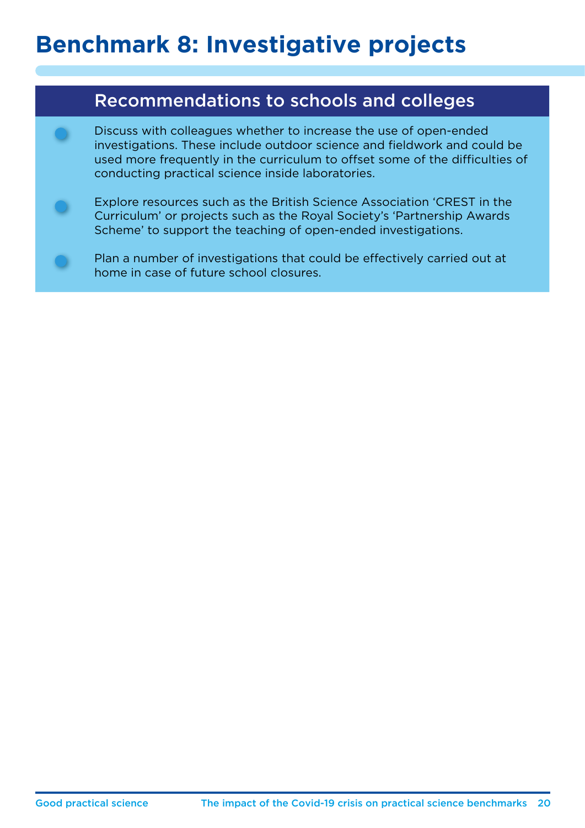# **Benchmark 8: Investigative projects**

### Recommendations to schools and colleges

Discuss with colleagues whether to increase the use of open-ended investigations. These include outdoor science and fieldwork and could be used more frequently in the curriculum to offset some of the difficulties of conducting practical science inside laboratories.

Explore resources such as the British Science Association 'CREST in the Curriculum' or projects such as the Royal Society's 'Partnership Awards Scheme' to support the teaching of open-ended investigations.

Plan a number of investigations that could be effectively carried out at home in case of future school closures.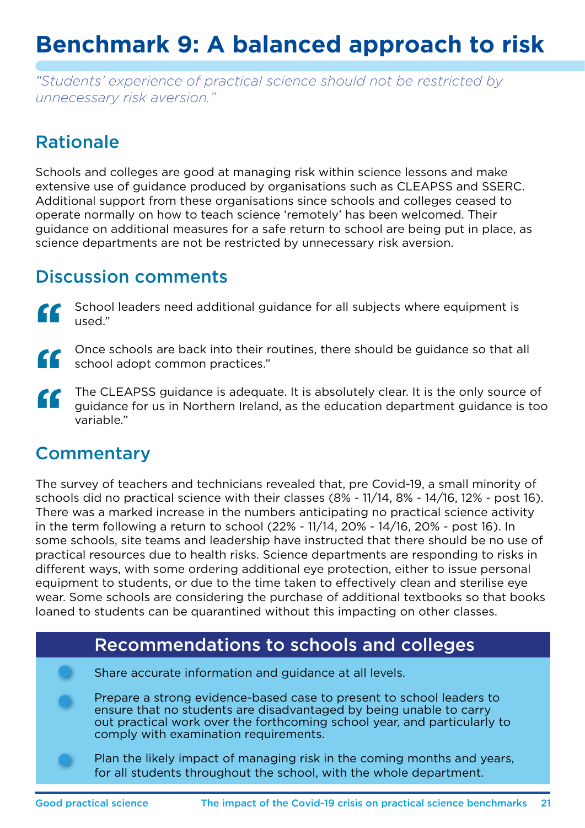# **Benchmark 9: A balanced approach to risk**

*"Students' experience of practical science should not be restricted by unnecessary risk aversion."*

### Rationale

Schools and colleges are good at managing risk within science lessons and make extensive use of guidance produced by organisations such as CLEAPSS and SSERC. Additional support from these organisations since schools and colleges ceased to operate normally on how to teach science 'remotely' has been welcomed. Their guidance on additional measures for a safe return to school are being put in place, as science departments are not be restricted by unnecessary risk aversion.

### Discussion comments

- er<br>Se School leaders need additional guidance for all subjects where equipment is used."
- "<br>" Once schools are back into their routines, there should be guidance so that all school adopt common practices."
- $\epsilon$ The CLEAPSS guidance is adequate. It is absolutely clear. It is the only source of guidance for us in Northern Ireland, as the education department guidance is too variable."

### **Commentary**

The survey of teachers and technicians revealed that, pre Covid-19, a small minority of schools did no practical science with their classes (8% - 11/14, 8% - 14/16, 12% - post 16). There was a marked increase in the numbers anticipating no practical science activity in the term following a return to school (22% - 11/14, 20% - 14/16, 20% - post 16). In some schools, site teams and leadership have instructed that there should be no use of practical resources due to health risks. Science departments are responding to risks in different ways, with some ordering additional eye protection, either to issue personal equipment to students, or due to the time taken to effectively clean and sterilise eye wear. Some schools are considering the purchase of additional textbooks so that books loaned to students can be quarantined without this impacting on other classes.

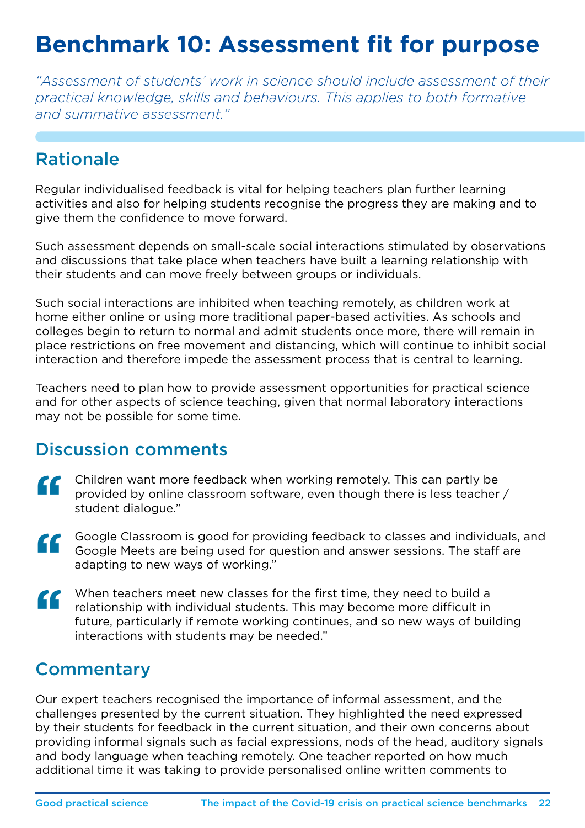# **Benchmark 10: Assessment fit for purpose**

*"Assessment of students' work in science should include assessment of their practical knowledge, skills and behaviours. This applies to both formative and summative assessment."*

### Rationale

Regular individualised feedback is vital for helping teachers plan further learning activities and also for helping students recognise the progress they are making and to give them the confidence to move forward.

Such assessment depends on small-scale social interactions stimulated by observations and discussions that take place when teachers have built a learning relationship with their students and can move freely between groups or individuals.

Such social interactions are inhibited when teaching remotely, as children work at home either online or using more traditional paper-based activities. As schools and colleges begin to return to normal and admit students once more, there will remain in place restrictions on free movement and distancing, which will continue to inhibit social interaction and therefore impede the assessment process that is central to learning.

Teachers need to plan how to provide assessment opportunities for practical science and for other aspects of science teaching, given that normal laboratory interactions may not be possible for some time.

### Discussion comments

- Children want more feedback when working remotely. This can partly be provided by online classroom software, even though there is less teacher / student dialogue."  $\epsilon$
- Google Classroom is good for providing feedback to classes and individuals, and<br>
Google Meets are being used for question and answer sessions. The staff are<br>
adapting to new ways of working." Google Meets are being used for question and answer sessions. The staff are adapting to new ways of working."
- When teachers meet new classes for the first time, they need to build a relationship with individual students. This may become more difficult in future, particularly if remote working continues, and so new ways of building interactions with students may be needed."  $\epsilon$

### **Commentary**

Our expert teachers recognised the importance of informal assessment, and the challenges presented by the current situation. They highlighted the need expressed by their students for feedback in the current situation, and their own concerns about providing informal signals such as facial expressions, nods of the head, auditory signals and body language when teaching remotely. One teacher reported on how much additional time it was taking to provide personalised online written comments to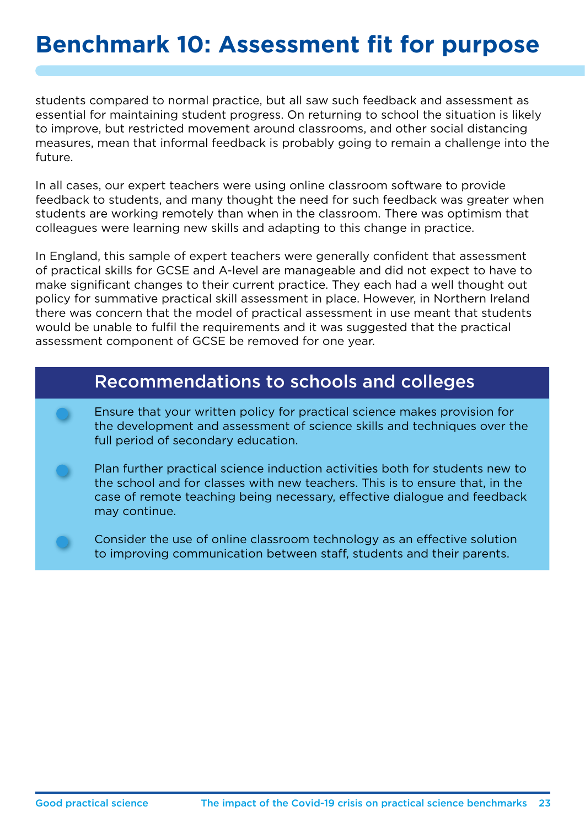students compared to normal practice, but all saw such feedback and assessment as essential for maintaining student progress. On returning to school the situation is likely to improve, but restricted movement around classrooms, and other social distancing measures, mean that informal feedback is probably going to remain a challenge into the future.

In all cases, our expert teachers were using online classroom software to provide feedback to students, and many thought the need for such feedback was greater when students are working remotely than when in the classroom. There was optimism that colleagues were learning new skills and adapting to this change in practice.

In England, this sample of expert teachers were generally confident that assessment of practical skills for GCSE and A-level are manageable and did not expect to have to make significant changes to their current practice. They each had a well thought out policy for summative practical skill assessment in place. However, in Northern Ireland there was concern that the model of practical assessment in use meant that students would be unable to fulfil the requirements and it was suggested that the practical assessment component of GCSE be removed for one year.

#### Recommendations to schools and colleges

- Ensure that your written policy for practical science makes provision for the development and assessment of science skills and techniques over the full period of secondary education.
- Plan further practical science induction activities both for students new to the school and for classes with new teachers. This is to ensure that, in the case of remote teaching being necessary, effective dialogue and feedback may continue.
- Consider the use of online classroom technology as an effective solution to improving communication between staff, students and their parents.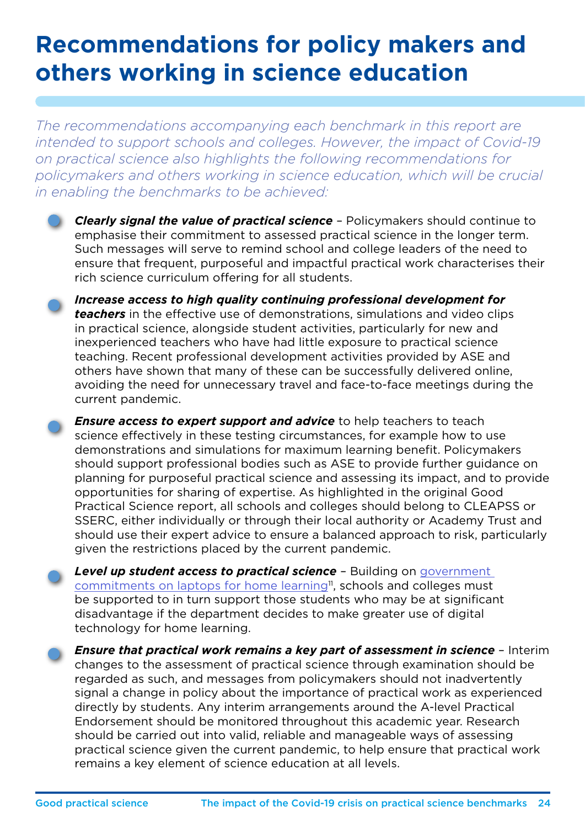# **Recommendations for policy makers and others working in science education**

*The recommendations accompanying each benchmark in this report are intended to support schools and colleges. However, the impact of Covid-19 on practical science also highlights the following recommendations for policymakers and others working in science education, which will be crucial in enabling the benchmarks to be achieved:*

*Clearly signal the value of practical science* – Policymakers should continue to emphasise their commitment to assessed practical science in the longer term. Such messages will serve to remind school and college leaders of the need to ensure that frequent, purposeful and impactful practical work characterises their rich science curriculum offering for all students.

*Increase access to high quality continuing professional development for teachers* in the effective use of demonstrations, simulations and video clips in practical science, alongside student activities, particularly for new and inexperienced teachers who have had little exposure to practical science teaching. Recent professional development activities provided by ASE and others have shown that many of these can be successfully delivered online, avoiding the need for unnecessary travel and face-to-face meetings during the current pandemic.

*Ensure access to expert support and advice* to help teachers to teach science effectively in these testing circumstances, for example how to use demonstrations and simulations for maximum learning benefit. Policymakers should support professional bodies such as ASE to provide further guidance on planning for purposeful practical science and assessing its impact, and to provide opportunities for sharing of expertise. As highlighted in the original Good Practical Science report, all schools and colleges should belong to CLEAPSS or SSERC, either individually or through their local authority or Academy Trust and should use their expert advice to ensure a balanced approach to risk, particularly given the restrictions placed by the current pandemic.

*Level up student access to practical science* – Building on [government](https://www.gov.uk/government/news/new-major-package-to-support-online-learning)  [commitments on laptops for home learning](https://www.gov.uk/government/news/new-major-package-to-support-online-learning)<sup>11</sup>, schools and colleges must be supported to in turn support those students who may be at significant disadvantage if the department decides to make greater use of digital technology for home learning.

*Ensure that practical work remains a key part of assessment in science* – Interim changes to the assessment of practical science through examination should be regarded as such, and messages from policymakers should not inadvertently signal a change in policy about the importance of practical work as experienced directly by students. Any interim arrangements around the A-level Practical Endorsement should be monitored throughout this academic year. Research should be carried out into valid, reliable and manageable ways of assessing practical science given the current pandemic, to help ensure that practical work remains a key element of science education at all levels.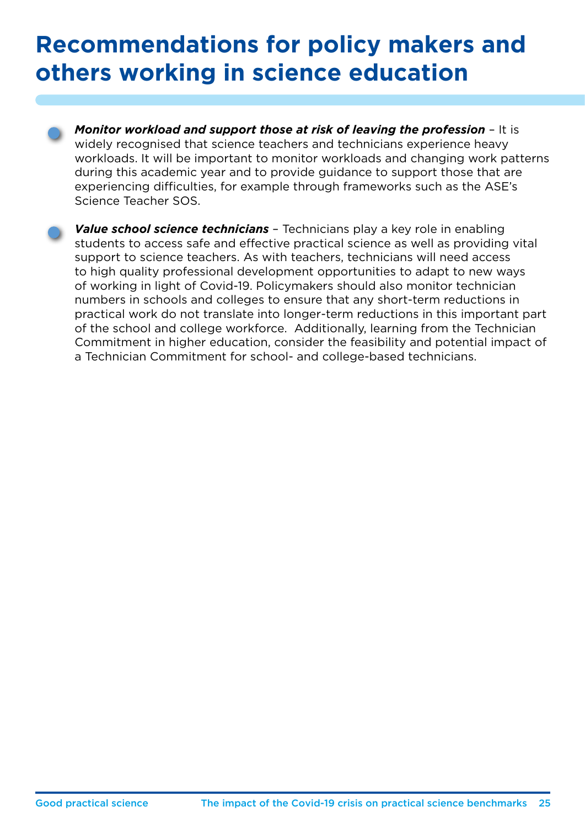# **Recommendations for policy makers and others working in science education**

*Monitor workload and support those at risk of leaving the profession* – It is widely recognised that science teachers and technicians experience heavy workloads. It will be important to monitor workloads and changing work patterns during this academic year and to provide guidance to support those that are experiencing difficulties, for example through frameworks such as the ASE's Science Teacher SOS.

*Value school science technicians* – Technicians play a key role in enabling students to access safe and effective practical science as well as providing vital support to science teachers. As with teachers, technicians will need access to high quality professional development opportunities to adapt to new ways of working in light of Covid-19. Policymakers should also monitor technician numbers in schools and colleges to ensure that any short-term reductions in practical work do not translate into longer-term reductions in this important part of the school and college workforce. Additionally, learning from the Technician Commitment in higher education, consider the feasibility and potential impact of a Technician Commitment for school- and college-based technicians.